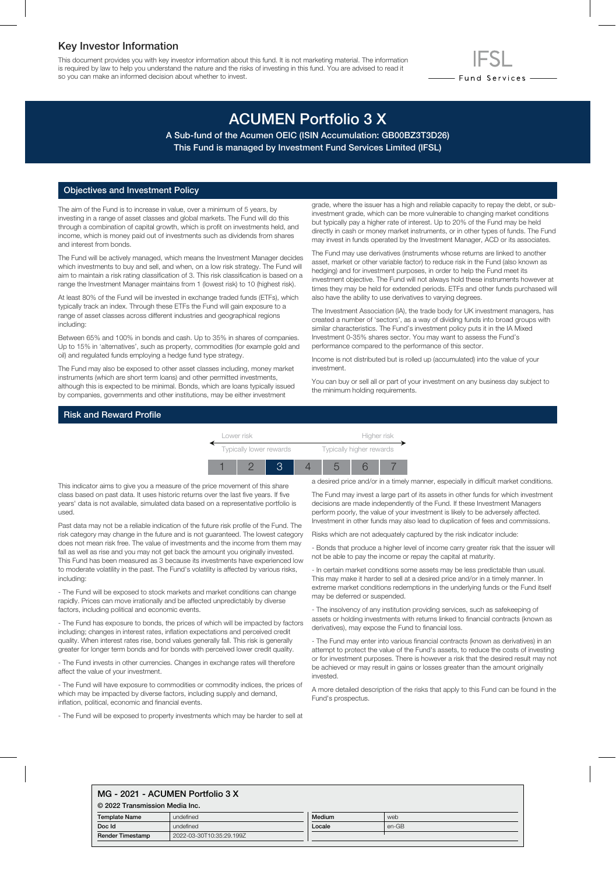# Key Investor Information

This document provides you with key investor information about this fund. It is not marketing material. The information is required by law to help you understand the nature and the risks of investing in this fund. You are advised to read it so you can make an informed decision about whether to invest.

# ACUMEN Portfolio 3 X

A Sub-fund of the Acumen OEIC (ISIN Accumulation: GB00BZ3T3D26) This Fund is managed by Investment Fund Services Limited (IFSL)

## Objectives and Investment Policy

The aim of the Fund is to increase in value, over a minimum of 5 years, by investing in a range of asset classes and global markets. The Fund will do this through a combination of capital growth, which is profit on investments held, and income, which is money paid out of investments such as dividends from shares and interest from bonds.

The Fund will be actively managed, which means the Investment Manager decides which investments to buy and sell, and when, on a low risk strategy. The Fund will aim to maintain a risk rating classification of 3. This risk classification is based on a range the Investment Manager maintains from 1 (lowest risk) to 10 (highest risk).

At least 80% of the Fund will be invested in exchange traded funds (ETFs), which typically track an index. Through these ETFs the Fund will gain exposure to a range of asset classes across different industries and geographical regions including:

Between 65% and 100% in bonds and cash. Up to 35% in shares of companies. Up to 15% in 'alternatives', such as property, commodities (for example gold and oil) and regulated funds employing a hedge fund type strategy.

The Fund may also be exposed to other asset classes including, money market instruments (which are short term loans) and other permitted investments, although this is expected to be minimal. Bonds, which are loans typically issued by companies, governments and other institutions, may be either investment

grade, where the issuer has a high and reliable capacity to repay the debt, or subinvestment grade, which can be more vulnerable to changing market conditions but typically pay a higher rate of interest. Up to 20% of the Fund may be held directly in cash or money market instruments, or in other types of funds. The Fund may invest in funds operated by the Investment Manager, ACD or its associates.

- Fund Services —

The Fund may use derivatives (instruments whose returns are linked to another asset, market or other variable factor) to reduce risk in the Fund (also known as hedging) and for investment purposes, in order to help the Fund meet its investment objective. The Fund will not always hold these instruments however at times they may be held for extended periods. ETFs and other funds purchased will also have the ability to use derivatives to varying degrees.

The Investment Association (IA), the trade body for UK investment managers, has created a number of 'sectors', as a way of dividing funds into broad groups with similar characteristics. The Fund's investment policy puts it in the IA Mixed Investment 0-35% shares sector. You may want to assess the Fund's performance compared to the performance of this sector.

Income is not distributed but is rolled up (accumulated) into the value of your investment.

You can buy or sell all or part of your investment on any business day subject to the minimum holding requirements.

# Risk and Reward Profile



This indicator aims to give you a measure of the price movement of this share class based on past data. It uses historic returns over the last five years. If five years' data is not available, simulated data based on a representative portfolio is used.

Past data may not be a reliable indication of the future risk profile of the Fund. The risk category may change in the future and is not guaranteed. The lowest category does not mean risk free. The value of investments and the income from them may fall as well as rise and you may not get back the amount you originally invested. This Fund has been measured as 3 because its investments have experienced low to moderate volatility in the past. The Fund's volatility is affected by various risks, including:

- The Fund will be exposed to stock markets and market conditions can change rapidly. Prices can move irrationally and be affected unpredictably by diverse factors, including political and economic events.

- The Fund has exposure to bonds, the prices of which will be impacted by factors including; changes in interest rates, inflation expectations and perceived credit quality. When interest rates rise, bond values generally fall. This risk is generally greater for longer term bonds and for bonds with perceived lower credit quality.

- The Fund invests in other currencies. Changes in exchange rates will therefore affect the value of your investment.

- The Fund will have exposure to commodities or commodity indices, the prices of which may be impacted by diverse factors, including supply and demand, inflation, political, economic and financial events.

- The Fund will be exposed to property investments which may be harder to sell at

a desired price and/or in a timely manner, especially in difficult market conditions.

The Fund may invest a large part of its assets in other funds for which investment decisions are made independently of the Fund. If these Investment Managers perform poorly, the value of your investment is likely to be adversely affected. Investment in other funds may also lead to duplication of fees and commissions.

Risks which are not adequately captured by the risk indicator include:

- Bonds that produce a higher level of income carry greater risk that the issuer will not be able to pay the income or repay the capital at maturity.

- In certain market conditions some assets may be less predictable than usual. This may make it harder to sell at a desired price and/or in a timely manner. In extreme market conditions redemptions in the underlying funds or the Fund itself may be deferred or suspended.

- The insolvency of any institution providing services, such as safekeeping of assets or holding investments with returns linked to financial contracts (known as derivatives), may expose the Fund to financial loss.

- The Fund may enter into various financial contracts (known as derivatives) in an attempt to protect the value of the Fund's assets, to reduce the costs of investing or for investment purposes. There is however a risk that the desired result may not be achieved or may result in gains or losses greater than the amount originally invested.

A more detailed description of the risks that apply to this Fund can be found in the Fund's prospectus.